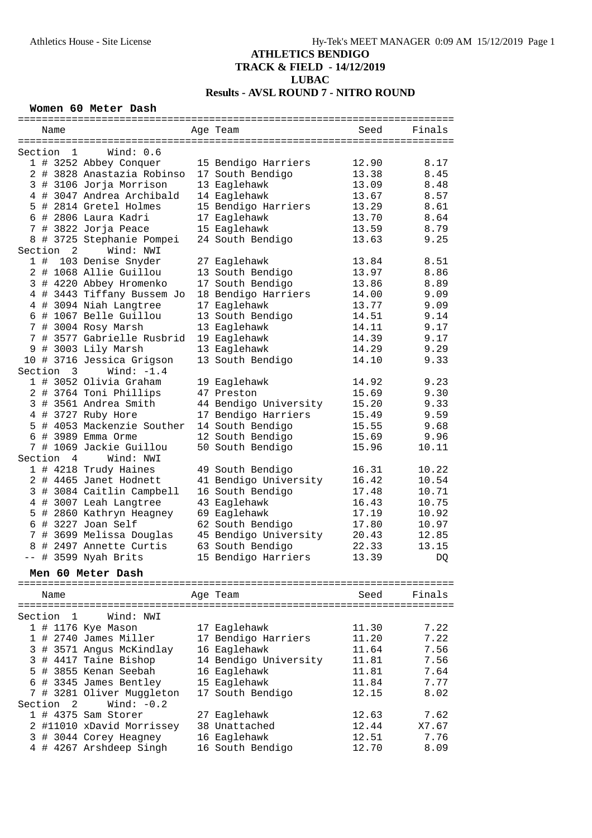#### **Women 60 Meter Dash**

|                 |    | Name                       |                                                 | Age Team              | Seed  | Finals |
|-----------------|----|----------------------------|-------------------------------------------------|-----------------------|-------|--------|
|                 |    |                            |                                                 |                       |       |        |
| Section         |    | $\overline{1}$             | Wind: $0.6$                                     |                       |       |        |
|                 |    |                            | 1 # 3252 Abbey Conquer                          | 15 Bendigo Harriers   | 12.90 | 8.17   |
|                 |    |                            | 2 # 3828 Anastazia Robinso                      | 17 South Bendigo      | 13.38 | 8.45   |
|                 |    |                            | 3 # 3106 Jorja Morrison                         | 13 Eaglehawk          | 13.09 | 8.48   |
|                 |    |                            | 4 # 3047 Andrea Archibald                       | 14 Eaglehawk          | 13.67 | 8.57   |
|                 |    |                            | 5 # 2814 Gretel Holmes                          | 15 Bendigo Harriers   | 13.29 | 8.61   |
|                 |    |                            | 6 # 2806 Laura Kadri                            | 17 Eaglehawk          | 13.70 | 8.64   |
|                 |    |                            | 7 # 3822 Jorja Peace                            | 15 Eaglehawk          | 13.59 | 8.79   |
|                 |    |                            |                                                 |                       |       | 9.25   |
| 8<br>Section    |    | $\overline{\phantom{0}}^2$ | # 3725 Stephanie Pompei<br>Wind: NWI            | 24 South Bendigo      | 13.63 |        |
|                 | 1# |                            | 103 Denise Snyder                               | 27 Eaglehawk          | 13.84 | 8.51   |
|                 |    |                            | 2 # 1068 Allie Guillou                          | 13 South Bendigo      | 13.97 | 8.86   |
|                 |    |                            | 3 # 4220 Abbey Hromenko                         | 17 South Bendigo      | 13.86 | 8.89   |
|                 |    |                            | 4 # 3443 Tiffany Bussem Jo                      | 18 Bendigo Harriers   | 14.00 | 9.09   |
|                 |    |                            | 4 # 3094 Niah Langtree                          | 17 Eaglehawk          | 13.77 | 9.09   |
|                 |    |                            | 6 # 1067 Belle Guillou                          | 13 South Bendigo      | 14.51 | 9.14   |
|                 |    |                            |                                                 | 13 Eaglehawk          |       | 9.17   |
|                 |    |                            | 7 # 3004 Rosy Marsh<br># 3577 Gabrielle Rusbrid |                       | 14.11 |        |
| $7\overline{ }$ |    |                            |                                                 | 19 Eaglehawk          | 14.39 | 9.17   |
| 9               |    |                            | # 3003 Lily Marsh                               | 13 Eaglehawk          | 14.29 | 9.29   |
|                 |    |                            | 10 # 3716 Jessica Grigson                       | 13 South Bendigo      | 14.10 | 9.33   |
|                 |    | Section 3                  | Wind: $-1.4$                                    |                       |       |        |
|                 |    |                            | 1 # 3052 Olivia Graham                          | 19 Eaglehawk          | 14.92 | 9.23   |
|                 |    |                            | 2 # 3764 Toni Phillips                          | 47 Preston            | 15.69 | 9.30   |
|                 |    |                            | 3 # 3561 Andrea Smith                           | 44 Bendigo University | 15.20 | 9.33   |
|                 |    |                            | 4 # 3727 Ruby Hore                              | 17 Bendigo Harriers   | 15.49 | 9.59   |
|                 |    |                            | 5 # 4053 Mackenzie Souther                      | 14 South Bendigo      | 15.55 | 9.68   |
|                 |    |                            | 6 # 3989 Emma Orme                              | 12 South Bendigo      | 15.69 | 9.96   |
|                 |    |                            | 7 # 1069 Jackie Guillou                         | 50 South Bendigo      | 15.96 | 10.11  |
| Section         |    | $\overline{4}$             | Wind: NWI                                       |                       |       |        |
|                 |    |                            | 1 # 4218 Trudy Haines                           | 49 South Bendigo      | 16.31 | 10.22  |
|                 |    |                            | 2 # 4465 Janet Hodnett                          | 41 Bendigo University | 16.42 | 10.54  |
|                 |    |                            | 3 # 3084 Caitlin Campbell                       | 16 South Bendigo      | 17.48 | 10.71  |
|                 |    |                            | 4 # 3007 Leah Langtree                          | 43 Eaglehawk          | 16.43 | 10.75  |
|                 |    |                            |                                                 |                       |       |        |
|                 |    |                            | 5 # 2860 Kathryn Heagney                        | 69 Eaglehawk          | 17.19 | 10.92  |
|                 |    |                            | $6$ # 3227 Joan Self                            | 62 South Bendigo      | 17.80 | 10.97  |
|                 |    |                            | 7 # 3699 Melissa Douglas                        | 45 Bendigo University | 20.43 | 12.85  |
|                 |    |                            | 8 # 2497 Annette Curtis                         | 63 South Bendigo      | 22.33 | 13.15  |
| $--$            | #  |                            | 3599 Nyah Brits                                 | 15 Bendigo Harriers   | 13.39 | DQ.    |
|                 |    |                            | Men 60 Meter Dash                               |                       |       |        |
|                 |    |                            | ==============================                  |                       |       |        |
|                 |    | Name                       |                                                 | Aqe Team              | Seed  | Finals |
|                 |    |                            |                                                 |                       |       |        |
|                 |    | Section 1                  | Wind: NWI                                       |                       |       |        |
|                 |    |                            | 1 # 1176 Kye Mason                              | 17 Eaglehawk          | 11.30 | 7.22   |
|                 |    |                            | 1 # 2740 James Miller                           | 17 Bendigo Harriers   | 11.20 | 7.22   |
|                 |    |                            | 3 # 3571 Angus McKindlay                        | 16 Eaglehawk          | 11.64 | 7.56   |
| 3               |    |                            | # 4417 Taine Bishop                             | 14 Bendigo University | 11.81 | 7.56   |
|                 |    |                            | 5 # 3855 Kenan Seebah                           | 16 Eaglehawk          | 11.81 | 7.64   |
|                 |    |                            | 6 # 3345 James Bentley                          | 15 Eaglehawk          | 11.84 | 7.77   |
|                 |    |                            | 7 # 3281 Oliver Muggleton                       | 17 South Bendigo      | 12.15 | 8.02   |
| Section         |    | -2                         | Wind: $-0.2$                                    |                       |       |        |
|                 |    |                            | $1$ # 4375 Sam Storer                           | 27 Eaglehawk          | 12.63 | 7.62   |
|                 |    |                            | 2 #11010 xDavid Morrissey                       | 38 Unattached         | 12.44 | X7.67  |
| 3               |    |                            | # 3044 Corey Heagney                            | 16 Eaglehawk          | 12.51 | 7.76   |
|                 |    |                            | 4 # 4267 Arshdeep Singh                         | 16 South Bendigo      | 12.70 | 8.09   |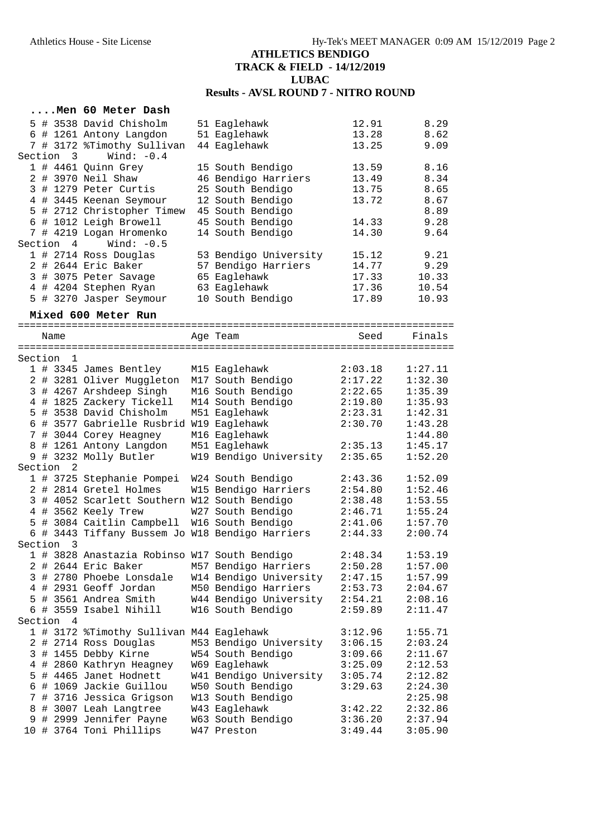| 5 # 3538 David Chisholm<br>8.29<br>51 Eaglehawk<br>12.91<br>51 Eaglehawk<br>13.28<br>8.62<br>6 # 1261 Antony Langdon<br>7 # 3172 %Timothy Sullivan<br>44 Eaglehawk<br>13.25<br>9.09<br>Section 3<br>Wind: $-0.4$<br>1 # 4461 Quinn Grey<br>8.16<br>15 South Bendigo<br>13.59<br>2 # 3970 Neil Shaw<br>46 Bendigo Harriers<br>8.34<br>13.49<br>3 # 1279 Peter Curtis<br>25 South Bendigo<br>13.75<br>8.65<br>4 # 3445 Keenan Seymour<br>12 South Bendigo<br>13.72<br>8.67<br>8.89<br>5 # 2712 Christopher Timew<br>45 South Bendigo<br>6 # 1012 Leigh Browell<br>45 South Bendigo<br>9.28<br>14.33<br>7 # 4219 Logan Hromenko<br>14 South Bendigo<br>9.64<br>14.30<br>Wind: $-0.5$<br>Section 4<br>1 # 2714 Ross Douglas<br>53 Bendigo University<br>9.21<br>15.12<br>9.29<br>2 # 2644 Eric Baker<br>57 Bendigo Harriers<br>14.77<br>3 # 3075 Peter Savage<br>65 Eaglehawk<br>10.33<br>17.33<br>4 # 4204 Stephen Ryan<br>63 Eaglehawk<br>17.36<br>10.54<br>5 # 3270 Jasper Seymour<br>10 South Bendigo<br>17.89<br>10.93<br>Mixed 600 Meter Run<br>Seed<br>Finals<br>Name<br>Age Team<br>Section<br>-1<br>1 # 3345 James Bentley<br>2:03.18<br>1:27.11<br>M15 Eaglehawk<br>2 # 3281 Oliver Muggleton<br>M17 South Bendigo<br>2:17.22<br>1:32.30<br>3 # 4267 Arshdeep Singh<br>M16 South Bendigo<br>2:22.65<br>1:35.39<br>4 # 1825 Zackery Tickell<br>M14 South Bendigo<br>1:35.93<br>2:19.80<br>5 # 3538 David Chisholm<br>1:42.31<br>M51 Eaglehawk<br>2:23.31<br>6 # 3577 Gabrielle Rusbrid W19 Eaglehawk<br>2:30.70<br>1:43.28<br>7 # 3044 Corey Heagney<br>M16 Eaglehawk<br>1:44.80<br>8 # 1261 Antony Langdon<br>M51 Eaglehawk<br>1:45.17<br>2:35.13<br>9 # 3232 Molly Butler<br>W19 Bendigo University<br>2:35.65<br>1:52.20<br>Section <sub>2</sub><br>1 # 3725 Stephanie Pompei<br>W24 South Bendigo<br>2:43.36<br>1:52.09<br>2 # 2814 Gretel Holmes<br>W15 Bendigo Harriers<br>2:54.80<br>1:52.46<br>3 # 4052 Scarlett Southern W12 South Bendigo<br>2:38.48<br>1:53.55<br>4 # 3562 Keely Trew<br>W27 South Bendigo<br>2:46.71<br>1:55.24<br>5 # 3084 Caitlin Campbell<br>W16 South Bendigo<br>1:57.70<br>2:41.06<br>6 # 3443 Tiffany Bussem Jo W18 Bendigo Harriers<br>2:44.33<br>2:00.74<br>Section 3<br>1 # 3828 Anastazia Robinso W17 South Bendigo<br>2:48.34<br>1:53.19<br>M57 Bendigo Harriers<br>2 # 2644 Eric Baker<br>2:50.28<br>1:57.00<br>3 # 2780 Phoebe Lonsdale<br>W14 Bendigo University<br>2:47.15<br>1:57.99<br>4 # 2931 Geoff Jordan<br>M50 Bendigo Harriers<br>2:53.73<br>2:04.67<br>W44 Bendigo University<br>5 # 3561 Andrea Smith<br>2:54.21<br>2:08.16<br>6 # 3559 Isabel Nihill<br>W16 South Bendigo<br>2:59.89<br>2:11.47<br>Section<br>4<br>1 # 3172 %Timothy Sullivan M44 Eaglehawk<br>3:12.96<br>1:55.71<br>M53 Bendigo University<br>2:03.24<br>2 # 2714 Ross Douglas<br>3:06.15<br>3 # 1455 Debby Kirne<br>W54 South Bendigo<br>3:09.66<br>2:11.67<br>4 # 2860 Kathryn Heagney<br>W69 Eaglehawk<br>3:25.09<br>2:12.53<br># 4465 Janet Hodnett<br>W41 Bendigo University<br>3:05.74<br>2:12.82<br>5<br># 1069 Jackie Guillou<br>W50 South Bendigo<br>3:29.63<br>6<br>2:24.30<br># 3716 Jessica Grigson<br>W13 South Bendigo<br>2:25.98<br>7<br>8 # 3007 Leah Langtree<br>W43 Eaglehawk<br>3:42.22<br>2:32.86<br>9 # 2999 Jennifer Payne<br>W63 South Bendigo<br>3:36.20<br>2:37.94<br>10 # 3764 Toni Phillips<br>W47 Preston |  | Men 60 Meter Dash |  |         |         |
|-------------------------------------------------------------------------------------------------------------------------------------------------------------------------------------------------------------------------------------------------------------------------------------------------------------------------------------------------------------------------------------------------------------------------------------------------------------------------------------------------------------------------------------------------------------------------------------------------------------------------------------------------------------------------------------------------------------------------------------------------------------------------------------------------------------------------------------------------------------------------------------------------------------------------------------------------------------------------------------------------------------------------------------------------------------------------------------------------------------------------------------------------------------------------------------------------------------------------------------------------------------------------------------------------------------------------------------------------------------------------------------------------------------------------------------------------------------------------------------------------------------------------------------------------------------------------------------------------------------------------------------------------------------------------------------------------------------------------------------------------------------------------------------------------------------------------------------------------------------------------------------------------------------------------------------------------------------------------------------------------------------------------------------------------------------------------------------------------------------------------------------------------------------------------------------------------------------------------------------------------------------------------------------------------------------------------------------------------------------------------------------------------------------------------------------------------------------------------------------------------------------------------------------------------------------------------------------------------------------------------------------------------------------------------------------------------------------------------------------------------------------------------------------------------------------------------------------------------------------------------------------------------------------------------------------------------------------------------------------------------------------------------------------------------------------------------------------------------------------------------------------------------------------------------------------------------------------------------------------------------------------------------------------------------------------------------------------------------------------------|--|-------------------|--|---------|---------|
|                                                                                                                                                                                                                                                                                                                                                                                                                                                                                                                                                                                                                                                                                                                                                                                                                                                                                                                                                                                                                                                                                                                                                                                                                                                                                                                                                                                                                                                                                                                                                                                                                                                                                                                                                                                                                                                                                                                                                                                                                                                                                                                                                                                                                                                                                                                                                                                                                                                                                                                                                                                                                                                                                                                                                                                                                                                                                                                                                                                                                                                                                                                                                                                                                                                                                                                                                                   |  |                   |  |         |         |
|                                                                                                                                                                                                                                                                                                                                                                                                                                                                                                                                                                                                                                                                                                                                                                                                                                                                                                                                                                                                                                                                                                                                                                                                                                                                                                                                                                                                                                                                                                                                                                                                                                                                                                                                                                                                                                                                                                                                                                                                                                                                                                                                                                                                                                                                                                                                                                                                                                                                                                                                                                                                                                                                                                                                                                                                                                                                                                                                                                                                                                                                                                                                                                                                                                                                                                                                                                   |  |                   |  |         |         |
|                                                                                                                                                                                                                                                                                                                                                                                                                                                                                                                                                                                                                                                                                                                                                                                                                                                                                                                                                                                                                                                                                                                                                                                                                                                                                                                                                                                                                                                                                                                                                                                                                                                                                                                                                                                                                                                                                                                                                                                                                                                                                                                                                                                                                                                                                                                                                                                                                                                                                                                                                                                                                                                                                                                                                                                                                                                                                                                                                                                                                                                                                                                                                                                                                                                                                                                                                                   |  |                   |  |         |         |
|                                                                                                                                                                                                                                                                                                                                                                                                                                                                                                                                                                                                                                                                                                                                                                                                                                                                                                                                                                                                                                                                                                                                                                                                                                                                                                                                                                                                                                                                                                                                                                                                                                                                                                                                                                                                                                                                                                                                                                                                                                                                                                                                                                                                                                                                                                                                                                                                                                                                                                                                                                                                                                                                                                                                                                                                                                                                                                                                                                                                                                                                                                                                                                                                                                                                                                                                                                   |  |                   |  |         |         |
|                                                                                                                                                                                                                                                                                                                                                                                                                                                                                                                                                                                                                                                                                                                                                                                                                                                                                                                                                                                                                                                                                                                                                                                                                                                                                                                                                                                                                                                                                                                                                                                                                                                                                                                                                                                                                                                                                                                                                                                                                                                                                                                                                                                                                                                                                                                                                                                                                                                                                                                                                                                                                                                                                                                                                                                                                                                                                                                                                                                                                                                                                                                                                                                                                                                                                                                                                                   |  |                   |  |         |         |
|                                                                                                                                                                                                                                                                                                                                                                                                                                                                                                                                                                                                                                                                                                                                                                                                                                                                                                                                                                                                                                                                                                                                                                                                                                                                                                                                                                                                                                                                                                                                                                                                                                                                                                                                                                                                                                                                                                                                                                                                                                                                                                                                                                                                                                                                                                                                                                                                                                                                                                                                                                                                                                                                                                                                                                                                                                                                                                                                                                                                                                                                                                                                                                                                                                                                                                                                                                   |  |                   |  |         |         |
|                                                                                                                                                                                                                                                                                                                                                                                                                                                                                                                                                                                                                                                                                                                                                                                                                                                                                                                                                                                                                                                                                                                                                                                                                                                                                                                                                                                                                                                                                                                                                                                                                                                                                                                                                                                                                                                                                                                                                                                                                                                                                                                                                                                                                                                                                                                                                                                                                                                                                                                                                                                                                                                                                                                                                                                                                                                                                                                                                                                                                                                                                                                                                                                                                                                                                                                                                                   |  |                   |  |         |         |
|                                                                                                                                                                                                                                                                                                                                                                                                                                                                                                                                                                                                                                                                                                                                                                                                                                                                                                                                                                                                                                                                                                                                                                                                                                                                                                                                                                                                                                                                                                                                                                                                                                                                                                                                                                                                                                                                                                                                                                                                                                                                                                                                                                                                                                                                                                                                                                                                                                                                                                                                                                                                                                                                                                                                                                                                                                                                                                                                                                                                                                                                                                                                                                                                                                                                                                                                                                   |  |                   |  |         |         |
|                                                                                                                                                                                                                                                                                                                                                                                                                                                                                                                                                                                                                                                                                                                                                                                                                                                                                                                                                                                                                                                                                                                                                                                                                                                                                                                                                                                                                                                                                                                                                                                                                                                                                                                                                                                                                                                                                                                                                                                                                                                                                                                                                                                                                                                                                                                                                                                                                                                                                                                                                                                                                                                                                                                                                                                                                                                                                                                                                                                                                                                                                                                                                                                                                                                                                                                                                                   |  |                   |  |         |         |
|                                                                                                                                                                                                                                                                                                                                                                                                                                                                                                                                                                                                                                                                                                                                                                                                                                                                                                                                                                                                                                                                                                                                                                                                                                                                                                                                                                                                                                                                                                                                                                                                                                                                                                                                                                                                                                                                                                                                                                                                                                                                                                                                                                                                                                                                                                                                                                                                                                                                                                                                                                                                                                                                                                                                                                                                                                                                                                                                                                                                                                                                                                                                                                                                                                                                                                                                                                   |  |                   |  |         |         |
|                                                                                                                                                                                                                                                                                                                                                                                                                                                                                                                                                                                                                                                                                                                                                                                                                                                                                                                                                                                                                                                                                                                                                                                                                                                                                                                                                                                                                                                                                                                                                                                                                                                                                                                                                                                                                                                                                                                                                                                                                                                                                                                                                                                                                                                                                                                                                                                                                                                                                                                                                                                                                                                                                                                                                                                                                                                                                                                                                                                                                                                                                                                                                                                                                                                                                                                                                                   |  |                   |  |         |         |
|                                                                                                                                                                                                                                                                                                                                                                                                                                                                                                                                                                                                                                                                                                                                                                                                                                                                                                                                                                                                                                                                                                                                                                                                                                                                                                                                                                                                                                                                                                                                                                                                                                                                                                                                                                                                                                                                                                                                                                                                                                                                                                                                                                                                                                                                                                                                                                                                                                                                                                                                                                                                                                                                                                                                                                                                                                                                                                                                                                                                                                                                                                                                                                                                                                                                                                                                                                   |  |                   |  |         |         |
|                                                                                                                                                                                                                                                                                                                                                                                                                                                                                                                                                                                                                                                                                                                                                                                                                                                                                                                                                                                                                                                                                                                                                                                                                                                                                                                                                                                                                                                                                                                                                                                                                                                                                                                                                                                                                                                                                                                                                                                                                                                                                                                                                                                                                                                                                                                                                                                                                                                                                                                                                                                                                                                                                                                                                                                                                                                                                                                                                                                                                                                                                                                                                                                                                                                                                                                                                                   |  |                   |  |         |         |
|                                                                                                                                                                                                                                                                                                                                                                                                                                                                                                                                                                                                                                                                                                                                                                                                                                                                                                                                                                                                                                                                                                                                                                                                                                                                                                                                                                                                                                                                                                                                                                                                                                                                                                                                                                                                                                                                                                                                                                                                                                                                                                                                                                                                                                                                                                                                                                                                                                                                                                                                                                                                                                                                                                                                                                                                                                                                                                                                                                                                                                                                                                                                                                                                                                                                                                                                                                   |  |                   |  |         |         |
|                                                                                                                                                                                                                                                                                                                                                                                                                                                                                                                                                                                                                                                                                                                                                                                                                                                                                                                                                                                                                                                                                                                                                                                                                                                                                                                                                                                                                                                                                                                                                                                                                                                                                                                                                                                                                                                                                                                                                                                                                                                                                                                                                                                                                                                                                                                                                                                                                                                                                                                                                                                                                                                                                                                                                                                                                                                                                                                                                                                                                                                                                                                                                                                                                                                                                                                                                                   |  |                   |  |         |         |
|                                                                                                                                                                                                                                                                                                                                                                                                                                                                                                                                                                                                                                                                                                                                                                                                                                                                                                                                                                                                                                                                                                                                                                                                                                                                                                                                                                                                                                                                                                                                                                                                                                                                                                                                                                                                                                                                                                                                                                                                                                                                                                                                                                                                                                                                                                                                                                                                                                                                                                                                                                                                                                                                                                                                                                                                                                                                                                                                                                                                                                                                                                                                                                                                                                                                                                                                                                   |  |                   |  |         |         |
|                                                                                                                                                                                                                                                                                                                                                                                                                                                                                                                                                                                                                                                                                                                                                                                                                                                                                                                                                                                                                                                                                                                                                                                                                                                                                                                                                                                                                                                                                                                                                                                                                                                                                                                                                                                                                                                                                                                                                                                                                                                                                                                                                                                                                                                                                                                                                                                                                                                                                                                                                                                                                                                                                                                                                                                                                                                                                                                                                                                                                                                                                                                                                                                                                                                                                                                                                                   |  |                   |  |         |         |
|                                                                                                                                                                                                                                                                                                                                                                                                                                                                                                                                                                                                                                                                                                                                                                                                                                                                                                                                                                                                                                                                                                                                                                                                                                                                                                                                                                                                                                                                                                                                                                                                                                                                                                                                                                                                                                                                                                                                                                                                                                                                                                                                                                                                                                                                                                                                                                                                                                                                                                                                                                                                                                                                                                                                                                                                                                                                                                                                                                                                                                                                                                                                                                                                                                                                                                                                                                   |  |                   |  |         |         |
|                                                                                                                                                                                                                                                                                                                                                                                                                                                                                                                                                                                                                                                                                                                                                                                                                                                                                                                                                                                                                                                                                                                                                                                                                                                                                                                                                                                                                                                                                                                                                                                                                                                                                                                                                                                                                                                                                                                                                                                                                                                                                                                                                                                                                                                                                                                                                                                                                                                                                                                                                                                                                                                                                                                                                                                                                                                                                                                                                                                                                                                                                                                                                                                                                                                                                                                                                                   |  |                   |  |         |         |
|                                                                                                                                                                                                                                                                                                                                                                                                                                                                                                                                                                                                                                                                                                                                                                                                                                                                                                                                                                                                                                                                                                                                                                                                                                                                                                                                                                                                                                                                                                                                                                                                                                                                                                                                                                                                                                                                                                                                                                                                                                                                                                                                                                                                                                                                                                                                                                                                                                                                                                                                                                                                                                                                                                                                                                                                                                                                                                                                                                                                                                                                                                                                                                                                                                                                                                                                                                   |  |                   |  |         |         |
|                                                                                                                                                                                                                                                                                                                                                                                                                                                                                                                                                                                                                                                                                                                                                                                                                                                                                                                                                                                                                                                                                                                                                                                                                                                                                                                                                                                                                                                                                                                                                                                                                                                                                                                                                                                                                                                                                                                                                                                                                                                                                                                                                                                                                                                                                                                                                                                                                                                                                                                                                                                                                                                                                                                                                                                                                                                                                                                                                                                                                                                                                                                                                                                                                                                                                                                                                                   |  |                   |  |         |         |
|                                                                                                                                                                                                                                                                                                                                                                                                                                                                                                                                                                                                                                                                                                                                                                                                                                                                                                                                                                                                                                                                                                                                                                                                                                                                                                                                                                                                                                                                                                                                                                                                                                                                                                                                                                                                                                                                                                                                                                                                                                                                                                                                                                                                                                                                                                                                                                                                                                                                                                                                                                                                                                                                                                                                                                                                                                                                                                                                                                                                                                                                                                                                                                                                                                                                                                                                                                   |  |                   |  |         |         |
|                                                                                                                                                                                                                                                                                                                                                                                                                                                                                                                                                                                                                                                                                                                                                                                                                                                                                                                                                                                                                                                                                                                                                                                                                                                                                                                                                                                                                                                                                                                                                                                                                                                                                                                                                                                                                                                                                                                                                                                                                                                                                                                                                                                                                                                                                                                                                                                                                                                                                                                                                                                                                                                                                                                                                                                                                                                                                                                                                                                                                                                                                                                                                                                                                                                                                                                                                                   |  |                   |  |         |         |
|                                                                                                                                                                                                                                                                                                                                                                                                                                                                                                                                                                                                                                                                                                                                                                                                                                                                                                                                                                                                                                                                                                                                                                                                                                                                                                                                                                                                                                                                                                                                                                                                                                                                                                                                                                                                                                                                                                                                                                                                                                                                                                                                                                                                                                                                                                                                                                                                                                                                                                                                                                                                                                                                                                                                                                                                                                                                                                                                                                                                                                                                                                                                                                                                                                                                                                                                                                   |  |                   |  |         |         |
|                                                                                                                                                                                                                                                                                                                                                                                                                                                                                                                                                                                                                                                                                                                                                                                                                                                                                                                                                                                                                                                                                                                                                                                                                                                                                                                                                                                                                                                                                                                                                                                                                                                                                                                                                                                                                                                                                                                                                                                                                                                                                                                                                                                                                                                                                                                                                                                                                                                                                                                                                                                                                                                                                                                                                                                                                                                                                                                                                                                                                                                                                                                                                                                                                                                                                                                                                                   |  |                   |  |         |         |
|                                                                                                                                                                                                                                                                                                                                                                                                                                                                                                                                                                                                                                                                                                                                                                                                                                                                                                                                                                                                                                                                                                                                                                                                                                                                                                                                                                                                                                                                                                                                                                                                                                                                                                                                                                                                                                                                                                                                                                                                                                                                                                                                                                                                                                                                                                                                                                                                                                                                                                                                                                                                                                                                                                                                                                                                                                                                                                                                                                                                                                                                                                                                                                                                                                                                                                                                                                   |  |                   |  |         |         |
|                                                                                                                                                                                                                                                                                                                                                                                                                                                                                                                                                                                                                                                                                                                                                                                                                                                                                                                                                                                                                                                                                                                                                                                                                                                                                                                                                                                                                                                                                                                                                                                                                                                                                                                                                                                                                                                                                                                                                                                                                                                                                                                                                                                                                                                                                                                                                                                                                                                                                                                                                                                                                                                                                                                                                                                                                                                                                                                                                                                                                                                                                                                                                                                                                                                                                                                                                                   |  |                   |  |         |         |
|                                                                                                                                                                                                                                                                                                                                                                                                                                                                                                                                                                                                                                                                                                                                                                                                                                                                                                                                                                                                                                                                                                                                                                                                                                                                                                                                                                                                                                                                                                                                                                                                                                                                                                                                                                                                                                                                                                                                                                                                                                                                                                                                                                                                                                                                                                                                                                                                                                                                                                                                                                                                                                                                                                                                                                                                                                                                                                                                                                                                                                                                                                                                                                                                                                                                                                                                                                   |  |                   |  |         |         |
|                                                                                                                                                                                                                                                                                                                                                                                                                                                                                                                                                                                                                                                                                                                                                                                                                                                                                                                                                                                                                                                                                                                                                                                                                                                                                                                                                                                                                                                                                                                                                                                                                                                                                                                                                                                                                                                                                                                                                                                                                                                                                                                                                                                                                                                                                                                                                                                                                                                                                                                                                                                                                                                                                                                                                                                                                                                                                                                                                                                                                                                                                                                                                                                                                                                                                                                                                                   |  |                   |  |         |         |
|                                                                                                                                                                                                                                                                                                                                                                                                                                                                                                                                                                                                                                                                                                                                                                                                                                                                                                                                                                                                                                                                                                                                                                                                                                                                                                                                                                                                                                                                                                                                                                                                                                                                                                                                                                                                                                                                                                                                                                                                                                                                                                                                                                                                                                                                                                                                                                                                                                                                                                                                                                                                                                                                                                                                                                                                                                                                                                                                                                                                                                                                                                                                                                                                                                                                                                                                                                   |  |                   |  |         |         |
|                                                                                                                                                                                                                                                                                                                                                                                                                                                                                                                                                                                                                                                                                                                                                                                                                                                                                                                                                                                                                                                                                                                                                                                                                                                                                                                                                                                                                                                                                                                                                                                                                                                                                                                                                                                                                                                                                                                                                                                                                                                                                                                                                                                                                                                                                                                                                                                                                                                                                                                                                                                                                                                                                                                                                                                                                                                                                                                                                                                                                                                                                                                                                                                                                                                                                                                                                                   |  |                   |  |         |         |
|                                                                                                                                                                                                                                                                                                                                                                                                                                                                                                                                                                                                                                                                                                                                                                                                                                                                                                                                                                                                                                                                                                                                                                                                                                                                                                                                                                                                                                                                                                                                                                                                                                                                                                                                                                                                                                                                                                                                                                                                                                                                                                                                                                                                                                                                                                                                                                                                                                                                                                                                                                                                                                                                                                                                                                                                                                                                                                                                                                                                                                                                                                                                                                                                                                                                                                                                                                   |  |                   |  |         |         |
|                                                                                                                                                                                                                                                                                                                                                                                                                                                                                                                                                                                                                                                                                                                                                                                                                                                                                                                                                                                                                                                                                                                                                                                                                                                                                                                                                                                                                                                                                                                                                                                                                                                                                                                                                                                                                                                                                                                                                                                                                                                                                                                                                                                                                                                                                                                                                                                                                                                                                                                                                                                                                                                                                                                                                                                                                                                                                                                                                                                                                                                                                                                                                                                                                                                                                                                                                                   |  |                   |  |         |         |
|                                                                                                                                                                                                                                                                                                                                                                                                                                                                                                                                                                                                                                                                                                                                                                                                                                                                                                                                                                                                                                                                                                                                                                                                                                                                                                                                                                                                                                                                                                                                                                                                                                                                                                                                                                                                                                                                                                                                                                                                                                                                                                                                                                                                                                                                                                                                                                                                                                                                                                                                                                                                                                                                                                                                                                                                                                                                                                                                                                                                                                                                                                                                                                                                                                                                                                                                                                   |  |                   |  |         |         |
|                                                                                                                                                                                                                                                                                                                                                                                                                                                                                                                                                                                                                                                                                                                                                                                                                                                                                                                                                                                                                                                                                                                                                                                                                                                                                                                                                                                                                                                                                                                                                                                                                                                                                                                                                                                                                                                                                                                                                                                                                                                                                                                                                                                                                                                                                                                                                                                                                                                                                                                                                                                                                                                                                                                                                                                                                                                                                                                                                                                                                                                                                                                                                                                                                                                                                                                                                                   |  |                   |  |         |         |
|                                                                                                                                                                                                                                                                                                                                                                                                                                                                                                                                                                                                                                                                                                                                                                                                                                                                                                                                                                                                                                                                                                                                                                                                                                                                                                                                                                                                                                                                                                                                                                                                                                                                                                                                                                                                                                                                                                                                                                                                                                                                                                                                                                                                                                                                                                                                                                                                                                                                                                                                                                                                                                                                                                                                                                                                                                                                                                                                                                                                                                                                                                                                                                                                                                                                                                                                                                   |  |                   |  |         |         |
|                                                                                                                                                                                                                                                                                                                                                                                                                                                                                                                                                                                                                                                                                                                                                                                                                                                                                                                                                                                                                                                                                                                                                                                                                                                                                                                                                                                                                                                                                                                                                                                                                                                                                                                                                                                                                                                                                                                                                                                                                                                                                                                                                                                                                                                                                                                                                                                                                                                                                                                                                                                                                                                                                                                                                                                                                                                                                                                                                                                                                                                                                                                                                                                                                                                                                                                                                                   |  |                   |  |         |         |
|                                                                                                                                                                                                                                                                                                                                                                                                                                                                                                                                                                                                                                                                                                                                                                                                                                                                                                                                                                                                                                                                                                                                                                                                                                                                                                                                                                                                                                                                                                                                                                                                                                                                                                                                                                                                                                                                                                                                                                                                                                                                                                                                                                                                                                                                                                                                                                                                                                                                                                                                                                                                                                                                                                                                                                                                                                                                                                                                                                                                                                                                                                                                                                                                                                                                                                                                                                   |  |                   |  |         |         |
|                                                                                                                                                                                                                                                                                                                                                                                                                                                                                                                                                                                                                                                                                                                                                                                                                                                                                                                                                                                                                                                                                                                                                                                                                                                                                                                                                                                                                                                                                                                                                                                                                                                                                                                                                                                                                                                                                                                                                                                                                                                                                                                                                                                                                                                                                                                                                                                                                                                                                                                                                                                                                                                                                                                                                                                                                                                                                                                                                                                                                                                                                                                                                                                                                                                                                                                                                                   |  |                   |  |         |         |
|                                                                                                                                                                                                                                                                                                                                                                                                                                                                                                                                                                                                                                                                                                                                                                                                                                                                                                                                                                                                                                                                                                                                                                                                                                                                                                                                                                                                                                                                                                                                                                                                                                                                                                                                                                                                                                                                                                                                                                                                                                                                                                                                                                                                                                                                                                                                                                                                                                                                                                                                                                                                                                                                                                                                                                                                                                                                                                                                                                                                                                                                                                                                                                                                                                                                                                                                                                   |  |                   |  |         |         |
|                                                                                                                                                                                                                                                                                                                                                                                                                                                                                                                                                                                                                                                                                                                                                                                                                                                                                                                                                                                                                                                                                                                                                                                                                                                                                                                                                                                                                                                                                                                                                                                                                                                                                                                                                                                                                                                                                                                                                                                                                                                                                                                                                                                                                                                                                                                                                                                                                                                                                                                                                                                                                                                                                                                                                                                                                                                                                                                                                                                                                                                                                                                                                                                                                                                                                                                                                                   |  |                   |  |         |         |
|                                                                                                                                                                                                                                                                                                                                                                                                                                                                                                                                                                                                                                                                                                                                                                                                                                                                                                                                                                                                                                                                                                                                                                                                                                                                                                                                                                                                                                                                                                                                                                                                                                                                                                                                                                                                                                                                                                                                                                                                                                                                                                                                                                                                                                                                                                                                                                                                                                                                                                                                                                                                                                                                                                                                                                                                                                                                                                                                                                                                                                                                                                                                                                                                                                                                                                                                                                   |  |                   |  |         |         |
|                                                                                                                                                                                                                                                                                                                                                                                                                                                                                                                                                                                                                                                                                                                                                                                                                                                                                                                                                                                                                                                                                                                                                                                                                                                                                                                                                                                                                                                                                                                                                                                                                                                                                                                                                                                                                                                                                                                                                                                                                                                                                                                                                                                                                                                                                                                                                                                                                                                                                                                                                                                                                                                                                                                                                                                                                                                                                                                                                                                                                                                                                                                                                                                                                                                                                                                                                                   |  |                   |  |         |         |
|                                                                                                                                                                                                                                                                                                                                                                                                                                                                                                                                                                                                                                                                                                                                                                                                                                                                                                                                                                                                                                                                                                                                                                                                                                                                                                                                                                                                                                                                                                                                                                                                                                                                                                                                                                                                                                                                                                                                                                                                                                                                                                                                                                                                                                                                                                                                                                                                                                                                                                                                                                                                                                                                                                                                                                                                                                                                                                                                                                                                                                                                                                                                                                                                                                                                                                                                                                   |  |                   |  |         |         |
|                                                                                                                                                                                                                                                                                                                                                                                                                                                                                                                                                                                                                                                                                                                                                                                                                                                                                                                                                                                                                                                                                                                                                                                                                                                                                                                                                                                                                                                                                                                                                                                                                                                                                                                                                                                                                                                                                                                                                                                                                                                                                                                                                                                                                                                                                                                                                                                                                                                                                                                                                                                                                                                                                                                                                                                                                                                                                                                                                                                                                                                                                                                                                                                                                                                                                                                                                                   |  |                   |  |         |         |
|                                                                                                                                                                                                                                                                                                                                                                                                                                                                                                                                                                                                                                                                                                                                                                                                                                                                                                                                                                                                                                                                                                                                                                                                                                                                                                                                                                                                                                                                                                                                                                                                                                                                                                                                                                                                                                                                                                                                                                                                                                                                                                                                                                                                                                                                                                                                                                                                                                                                                                                                                                                                                                                                                                                                                                                                                                                                                                                                                                                                                                                                                                                                                                                                                                                                                                                                                                   |  |                   |  |         |         |
|                                                                                                                                                                                                                                                                                                                                                                                                                                                                                                                                                                                                                                                                                                                                                                                                                                                                                                                                                                                                                                                                                                                                                                                                                                                                                                                                                                                                                                                                                                                                                                                                                                                                                                                                                                                                                                                                                                                                                                                                                                                                                                                                                                                                                                                                                                                                                                                                                                                                                                                                                                                                                                                                                                                                                                                                                                                                                                                                                                                                                                                                                                                                                                                                                                                                                                                                                                   |  |                   |  |         |         |
|                                                                                                                                                                                                                                                                                                                                                                                                                                                                                                                                                                                                                                                                                                                                                                                                                                                                                                                                                                                                                                                                                                                                                                                                                                                                                                                                                                                                                                                                                                                                                                                                                                                                                                                                                                                                                                                                                                                                                                                                                                                                                                                                                                                                                                                                                                                                                                                                                                                                                                                                                                                                                                                                                                                                                                                                                                                                                                                                                                                                                                                                                                                                                                                                                                                                                                                                                                   |  |                   |  |         |         |
|                                                                                                                                                                                                                                                                                                                                                                                                                                                                                                                                                                                                                                                                                                                                                                                                                                                                                                                                                                                                                                                                                                                                                                                                                                                                                                                                                                                                                                                                                                                                                                                                                                                                                                                                                                                                                                                                                                                                                                                                                                                                                                                                                                                                                                                                                                                                                                                                                                                                                                                                                                                                                                                                                                                                                                                                                                                                                                                                                                                                                                                                                                                                                                                                                                                                                                                                                                   |  |                   |  |         |         |
|                                                                                                                                                                                                                                                                                                                                                                                                                                                                                                                                                                                                                                                                                                                                                                                                                                                                                                                                                                                                                                                                                                                                                                                                                                                                                                                                                                                                                                                                                                                                                                                                                                                                                                                                                                                                                                                                                                                                                                                                                                                                                                                                                                                                                                                                                                                                                                                                                                                                                                                                                                                                                                                                                                                                                                                                                                                                                                                                                                                                                                                                                                                                                                                                                                                                                                                                                                   |  |                   |  |         |         |
|                                                                                                                                                                                                                                                                                                                                                                                                                                                                                                                                                                                                                                                                                                                                                                                                                                                                                                                                                                                                                                                                                                                                                                                                                                                                                                                                                                                                                                                                                                                                                                                                                                                                                                                                                                                                                                                                                                                                                                                                                                                                                                                                                                                                                                                                                                                                                                                                                                                                                                                                                                                                                                                                                                                                                                                                                                                                                                                                                                                                                                                                                                                                                                                                                                                                                                                                                                   |  |                   |  |         |         |
|                                                                                                                                                                                                                                                                                                                                                                                                                                                                                                                                                                                                                                                                                                                                                                                                                                                                                                                                                                                                                                                                                                                                                                                                                                                                                                                                                                                                                                                                                                                                                                                                                                                                                                                                                                                                                                                                                                                                                                                                                                                                                                                                                                                                                                                                                                                                                                                                                                                                                                                                                                                                                                                                                                                                                                                                                                                                                                                                                                                                                                                                                                                                                                                                                                                                                                                                                                   |  |                   |  |         |         |
|                                                                                                                                                                                                                                                                                                                                                                                                                                                                                                                                                                                                                                                                                                                                                                                                                                                                                                                                                                                                                                                                                                                                                                                                                                                                                                                                                                                                                                                                                                                                                                                                                                                                                                                                                                                                                                                                                                                                                                                                                                                                                                                                                                                                                                                                                                                                                                                                                                                                                                                                                                                                                                                                                                                                                                                                                                                                                                                                                                                                                                                                                                                                                                                                                                                                                                                                                                   |  |                   |  | 3:49.44 | 3:05.90 |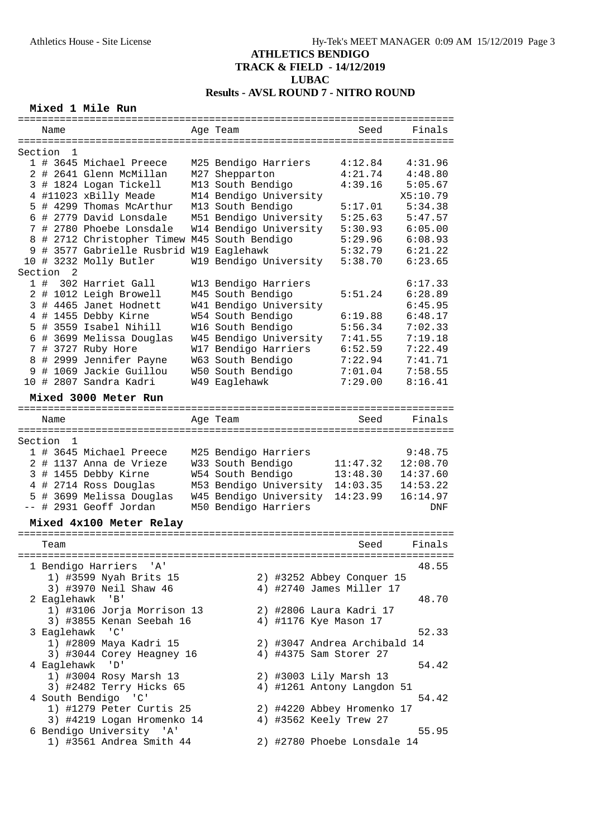## **Mixed 1 Mile Run**

|   | ===========             |                                                                                                                                                                                                                                                                                                                                                                                                                                                                                 | =========== <b>=</b>   |                              | ================== |
|---|-------------------------|---------------------------------------------------------------------------------------------------------------------------------------------------------------------------------------------------------------------------------------------------------------------------------------------------------------------------------------------------------------------------------------------------------------------------------------------------------------------------------|------------------------|------------------------------|--------------------|
|   | Name                    |                                                                                                                                                                                                                                                                                                                                                                                                                                                                                 | Age Team               | Seed                         | Finals             |
|   |                         |                                                                                                                                                                                                                                                                                                                                                                                                                                                                                 |                        |                              |                    |
|   | Section<br>1            |                                                                                                                                                                                                                                                                                                                                                                                                                                                                                 |                        |                              |                    |
|   |                         | 1 # 3645 Michael Preece                                                                                                                                                                                                                                                                                                                                                                                                                                                         | M25 Bendigo Harriers   | 4:12.84                      | 4:31.96            |
|   |                         | 2 # 2641 Glenn McMillan                                                                                                                                                                                                                                                                                                                                                                                                                                                         | M27 Shepparton         | 4:21.74                      | 4:48.80            |
|   |                         | 3 # 1824 Logan Tickell                                                                                                                                                                                                                                                                                                                                                                                                                                                          | M13 South Bendigo      | 4:39.16                      | 5:05.67            |
|   |                         | 4 #11023 xBilly Meade                                                                                                                                                                                                                                                                                                                                                                                                                                                           | M14 Bendigo University |                              | X5:10.79           |
| 5 |                         | # 4299 Thomas McArthur                                                                                                                                                                                                                                                                                                                                                                                                                                                          | M13 South Bendigo      | 5:17.01                      | 5:34.38            |
|   |                         | 6 # 2779 David Lonsdale                                                                                                                                                                                                                                                                                                                                                                                                                                                         | M51 Bendigo University | 5:25.63                      | 5:47.57            |
|   |                         | 7 # 2780 Phoebe Lonsdale                                                                                                                                                                                                                                                                                                                                                                                                                                                        | W14 Bendigo University | 5:30.93                      | 6:05.00            |
| 8 |                         |                                                                                                                                                                                                                                                                                                                                                                                                                                                                                 |                        | 5:29.96                      | 6:08.93            |
|   |                         | # 2712 Christopher Timew M45 South Bendigo                                                                                                                                                                                                                                                                                                                                                                                                                                      |                        |                              |                    |
|   |                         | 9 # 3577 Gabrielle Rusbrid W19 Eaglehawk                                                                                                                                                                                                                                                                                                                                                                                                                                        |                        | 5:32.79                      | 6:21.22            |
|   |                         | 10 # 3232 Molly Butler                                                                                                                                                                                                                                                                                                                                                                                                                                                          | W19 Bendigo University | 5:38.70                      | 6:23.65            |
|   | Section<br>2            |                                                                                                                                                                                                                                                                                                                                                                                                                                                                                 |                        |                              |                    |
|   | 1#                      | 302 Harriet Gall                                                                                                                                                                                                                                                                                                                                                                                                                                                                | W13 Bendigo Harriers   |                              | 6:17.33            |
| 2 |                         | # 1012 Leigh Browell                                                                                                                                                                                                                                                                                                                                                                                                                                                            | M45 South Bendigo      | 5:51.24                      | 6:28.89            |
| 3 |                         | # 4465 Janet Hodnett                                                                                                                                                                                                                                                                                                                                                                                                                                                            | W41 Bendigo University |                              | 6:45.95            |
|   |                         | 4 # 1455 Debby Kirne                                                                                                                                                                                                                                                                                                                                                                                                                                                            | W54 South Bendigo      | 6:19.88                      | 6:48.17            |
|   |                         | 5 # 3559 Isabel Nihill                                                                                                                                                                                                                                                                                                                                                                                                                                                          | W16 South Bendigo      | 5:56.34                      | 7:02.33            |
|   |                         | 6 # 3699 Melissa Douglas                                                                                                                                                                                                                                                                                                                                                                                                                                                        | W45 Bendigo University | 7:41.55                      | 7:19.18            |
|   |                         | 7 # 3727 Ruby Hore                                                                                                                                                                                                                                                                                                                                                                                                                                                              | W17 Bendigo Harriers   | 6:52.59                      | 7:22.49            |
|   |                         | 8 # 2999 Jennifer Payne                                                                                                                                                                                                                                                                                                                                                                                                                                                         | W63 South Bendigo      | 7:22.94                      | 7:41.71            |
|   |                         | 9 # 1069 Jackie Guillou                                                                                                                                                                                                                                                                                                                                                                                                                                                         | W50 South Bendigo      | 7:01.04                      | 7:58.55            |
|   |                         | 10 # 2807 Sandra Kadri                                                                                                                                                                                                                                                                                                                                                                                                                                                          | W49 Eaglehawk          | 7:29.00                      | 8:16.41            |
|   |                         |                                                                                                                                                                                                                                                                                                                                                                                                                                                                                 |                        |                              |                    |
|   |                         | Mixed 3000 Meter Run                                                                                                                                                                                                                                                                                                                                                                                                                                                            |                        |                              |                    |
|   |                         |                                                                                                                                                                                                                                                                                                                                                                                                                                                                                 |                        |                              |                    |
|   | Name                    |                                                                                                                                                                                                                                                                                                                                                                                                                                                                                 | Age Team               | Seed                         | Finals             |
|   |                         |                                                                                                                                                                                                                                                                                                                                                                                                                                                                                 |                        |                              |                    |
|   | Section<br>$\mathbf{1}$ |                                                                                                                                                                                                                                                                                                                                                                                                                                                                                 |                        |                              |                    |
|   |                         | 1 # 3645 Michael Preece                                                                                                                                                                                                                                                                                                                                                                                                                                                         | M25 Bendigo Harriers   |                              | 9:48.75            |
|   |                         | 2 # 1137 Anna de Vrieze                                                                                                                                                                                                                                                                                                                                                                                                                                                         | W33 South Bendigo      | 11:47.32                     | 12:08.70           |
|   |                         | 3 # 1455 Debby Kirne                                                                                                                                                                                                                                                                                                                                                                                                                                                            | W54 South Bendigo      | 13:48.30                     | 14:37.60           |
|   |                         | 4 # 2714 Ross Douglas                                                                                                                                                                                                                                                                                                                                                                                                                                                           | M53 Bendigo University | 14:03.35                     | 14:53.22           |
|   |                         | 5 # 3699 Melissa Douglas                                                                                                                                                                                                                                                                                                                                                                                                                                                        | W45 Bendigo University | 14:23.99                     | 16:14.97           |
|   |                         | -- # 2931 Geoff Jordan                                                                                                                                                                                                                                                                                                                                                                                                                                                          | M50 Bendigo Harriers   |                              | DNF                |
|   |                         | Mixed 4x100 Meter Relay                                                                                                                                                                                                                                                                                                                                                                                                                                                         |                        |                              |                    |
|   |                         |                                                                                                                                                                                                                                                                                                                                                                                                                                                                                 |                        |                              |                    |
|   | Team                    |                                                                                                                                                                                                                                                                                                                                                                                                                                                                                 |                        | Seed                         | Finals             |
|   |                         | =======================                                                                                                                                                                                                                                                                                                                                                                                                                                                         |                        |                              |                    |
|   |                         | 1 Bendigo Harriers 'A'                                                                                                                                                                                                                                                                                                                                                                                                                                                          |                        |                              | 48.55              |
|   |                         | 1) #3599 Nyah Brits 15                                                                                                                                                                                                                                                                                                                                                                                                                                                          |                        | 2) #3252 Abbey Conquer 15    |                    |
|   |                         | 3) #3970 Neil Shaw 46                                                                                                                                                                                                                                                                                                                                                                                                                                                           |                        | 4) #2740 James Miller 17     |                    |
|   |                         | 2 Eaglehawk 'B'                                                                                                                                                                                                                                                                                                                                                                                                                                                                 |                        |                              | 48.70              |
|   |                         | 1) #3106 Jorja Morrison 13                                                                                                                                                                                                                                                                                                                                                                                                                                                      |                        | 2) #2806 Laura Kadri 17      |                    |
|   |                         | 3) #3855 Kenan Seebah 16                                                                                                                                                                                                                                                                                                                                                                                                                                                        |                        | 4) #1176 Kye Mason 17        |                    |
|   | 3 Eaglehawk             | $\overline{\phantom{a}}$ $\overline{\phantom{a}}$ $\overline{\phantom{a}}$ $\overline{\phantom{a}}$ $\overline{\phantom{a}}$ $\overline{\phantom{a}}$ $\overline{\phantom{a}}$ $\overline{\phantom{a}}$ $\overline{\phantom{a}}$ $\overline{\phantom{a}}$ $\overline{\phantom{a}}$ $\overline{\phantom{a}}$ $\overline{\phantom{a}}$ $\overline{\phantom{a}}$ $\overline{\phantom{a}}$ $\overline{\phantom{a}}$ $\overline{\phantom{a}}$ $\overline{\phantom{a}}$ $\overline{\$ |                        |                              | 52.33              |
|   |                         |                                                                                                                                                                                                                                                                                                                                                                                                                                                                                 |                        |                              |                    |
|   |                         | 1) #2809 Maya Kadri 15                                                                                                                                                                                                                                                                                                                                                                                                                                                          |                        | 2) #3047 Andrea Archibald 14 |                    |
|   |                         | 3) #3044 Corey Heagney 16                                                                                                                                                                                                                                                                                                                                                                                                                                                       |                        | 4) #4375 Sam Storer 27       |                    |
|   | 4 Eaglehawk             | 'D'                                                                                                                                                                                                                                                                                                                                                                                                                                                                             |                        |                              | 54.42              |
|   |                         | 1) #3004 Rosy Marsh 13                                                                                                                                                                                                                                                                                                                                                                                                                                                          |                        | 2) #3003 Lily Marsh 13       |                    |
|   |                         | 3) #2482 Terry Hicks 65                                                                                                                                                                                                                                                                                                                                                                                                                                                         |                        | 4) #1261 Antony Langdon 51   |                    |
|   |                         | 4 South Bendigo 'C'                                                                                                                                                                                                                                                                                                                                                                                                                                                             |                        |                              | 54.42              |
|   |                         | 1) #1279 Peter Curtis 25                                                                                                                                                                                                                                                                                                                                                                                                                                                        |                        | 2) #4220 Abbey Hromenko 17   |                    |
|   |                         | 3) #4219 Logan Hromenko 14                                                                                                                                                                                                                                                                                                                                                                                                                                                      |                        | 4) #3562 Keely Trew 27       |                    |
|   |                         | 6 Bendigo University 'A'                                                                                                                                                                                                                                                                                                                                                                                                                                                        |                        |                              | 55.95              |
|   |                         | 1) #3561 Andrea Smith 44                                                                                                                                                                                                                                                                                                                                                                                                                                                        |                        | 2) #2780 Phoebe Lonsdale 14  |                    |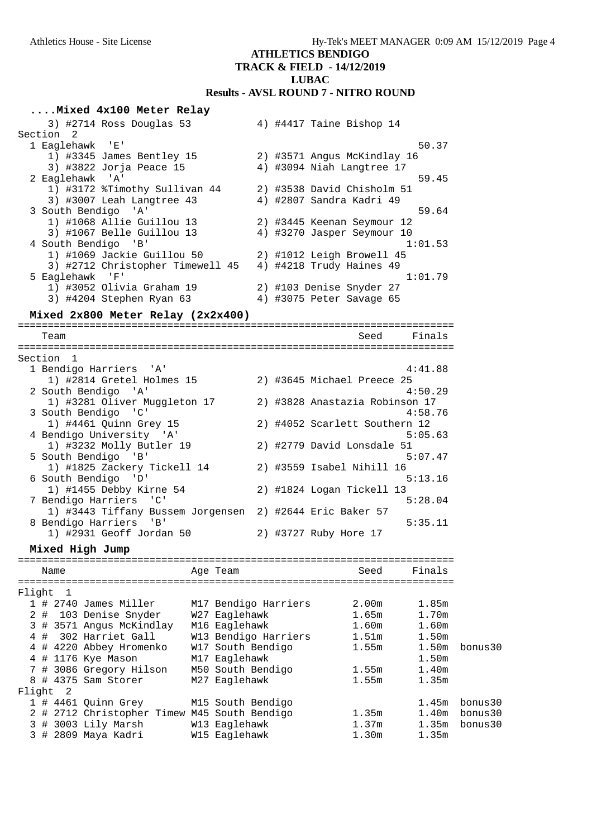#### **ATHLETICS BENDIGO**

## **TRACK & FIELD - 14/12/2019**

**LUBAC**

# **Results - AVSL ROUND 7 - NITRO ROUND**

| Mixed 4x100 Meter Relay                                             |                      |  |                                |                |                    |
|---------------------------------------------------------------------|----------------------|--|--------------------------------|----------------|--------------------|
| 3) #2714 Ross Douglas 53                                            |                      |  | 4) #4417 Taine Bishop 14       |                |                    |
| Section <sub>2</sub>                                                |                      |  |                                |                |                    |
| 1 Eaglehawk 'E'                                                     |                      |  |                                | 50.37          |                    |
| 1) #3345 James Bentley 15                                           |                      |  | 2) #3571 Angus McKindlay 16    |                |                    |
| 3) #3822 Jorja Peace 15                                             |                      |  | 4) #3094 Niah Langtree 17      |                |                    |
| 2 Eaglehawk 'A'<br>1) #3172 %Timothy Sullivan 44                    |                      |  | 2) #3538 David Chisholm 51     | 59.45          |                    |
| 3) #3007 Leah Langtree 43                                           |                      |  | 4) #2807 Sandra Kadri 49       |                |                    |
| 3 South Bendigo 'A'                                                 |                      |  |                                | 59.64          |                    |
| 1) #1068 Allie Guillou 13                                           |                      |  | 2) #3445 Keenan Seymour 12     |                |                    |
| 3) #1067 Belle Guillou 13                                           |                      |  | 4) #3270 Jasper Seymour 10     |                |                    |
| 4 South Bendigo 'B'                                                 |                      |  |                                | 1:01.53        |                    |
| 1) #1069 Jackie Guillou 50                                          |                      |  | 2) #1012 Leigh Browell 45      |                |                    |
| 3) #2712 Christopher Timewell 45                                    |                      |  | 4) #4218 Trudy Haines 49       |                |                    |
| 5 Eaglehawk 'F'                                                     |                      |  |                                | 1:01.79        |                    |
| 1) #3052 Olivia Graham 19                                           |                      |  | 2) #103 Denise Snyder 27       |                |                    |
| 3) #4204 Stephen Ryan 63                                            |                      |  | 4) #3075 Peter Savage 65       |                |                    |
| Mixed 2x800 Meter Relay (2x2x400)                                   |                      |  |                                |                |                    |
|                                                                     |                      |  |                                |                |                    |
| Team                                                                |                      |  | Seed                           | Finals         |                    |
| Section 1                                                           |                      |  |                                |                |                    |
| 1 Bendigo Harriers 'A'                                              |                      |  |                                | 4:41.88        |                    |
| 1) #2814 Gretel Holmes 15                                           |                      |  | 2) #3645 Michael Preece 25     |                |                    |
| 2 South Bendigo 'A'                                                 |                      |  |                                | 4:50.29        |                    |
| 1) #3281 Oliver Muggleton 17                                        |                      |  | 2) #3828 Anastazia Robinson 17 |                |                    |
| 3 South Bendigo 'C'                                                 |                      |  |                                | 4:58.76        |                    |
| 1) #4461 Quinn Grey 15                                              |                      |  | 2) #4052 Scarlett Southern 12  |                |                    |
| 4 Bendigo University 'A'                                            |                      |  |                                | 5:05.63        |                    |
| 1) #3232 Molly Butler 19<br>5 South Bendigo 'B'                     |                      |  | 2) #2779 David Lonsdale 51     | 5:07.47        |                    |
| 1) #1825 Zackery Tickell 14                                         |                      |  | 2) #3559 Isabel Nihill 16      |                |                    |
| 6 South Bendigo 'D'                                                 |                      |  |                                | 5:13.16        |                    |
| 1) #1455 Debby Kirne 54                                             |                      |  | 2) #1824 Logan Tickell 13      |                |                    |
| 7 Bendigo Harriers 'C'                                              |                      |  |                                | 5:28.04        |                    |
| 1) #3443 Tiffany Bussem Jorgensen 2) #2644 Eric Baker 57            |                      |  |                                |                |                    |
| 8 Bendigo Harriers<br>'B'                                           |                      |  |                                | 5:35.11        |                    |
| 1) #2931 Geoff Jordan 50                                            |                      |  | 2) #3727 Ruby Hore 17          |                |                    |
| Mixed High Jump                                                     |                      |  |                                |                |                    |
|                                                                     |                      |  |                                |                |                    |
| Name                                                                | Age Team             |  | Seed                           | Finals         |                    |
| Flight<br>- 1                                                       |                      |  |                                |                |                    |
| 1 # 2740 James Miller                                               | M17 Bendigo Harriers |  | 2.00 <sub>m</sub>              | 1.85m          |                    |
| 2#<br>103 Denise Snyder                                             | W27 Eaglehawk        |  | 1.65m                          | 1.70m          |                    |
| 3 # 3571 Angus McKindlay                                            | M16 Eaglehawk        |  | 1.60m                          | 1.60m          |                    |
| 4#<br>302 Harriet Gall                                              | W13 Bendigo Harriers |  | 1.51m                          | 1.50m          |                    |
| 4 # 4220 Abbey Hromenko                                             | W17 South Bendigo    |  | 1.55m                          | 1.50m          | bonus30            |
| 4 # 1176 Kye Mason                                                  | M17 Eaglehawk        |  |                                | 1.50m          |                    |
| 7 # 3086 Gregory Hilson                                             | M50 South Bendigo    |  | 1.55m                          | 1.40m          |                    |
| 8 # 4375 Sam Storer                                                 | M27 Eaglehawk        |  | 1.55m                          | 1.35m          |                    |
| -2<br>Flight                                                        |                      |  |                                |                |                    |
| 1 # 4461 Quinn Grey<br>2 # 2712 Christopher Timew M45 South Bendigo | M15 South Bendigo    |  | 1.35m                          | 1.45m<br>1.40m | bonus30<br>bonus30 |
| 3 # 3003 Lily Marsh                                                 | W13 Eaglehawk        |  | 1.37m                          | 1.35m          | bonus30            |
| 3 # 2809 Maya Kadri                                                 | W15 Eaglehawk        |  | 1.30m                          | 1.35m          |                    |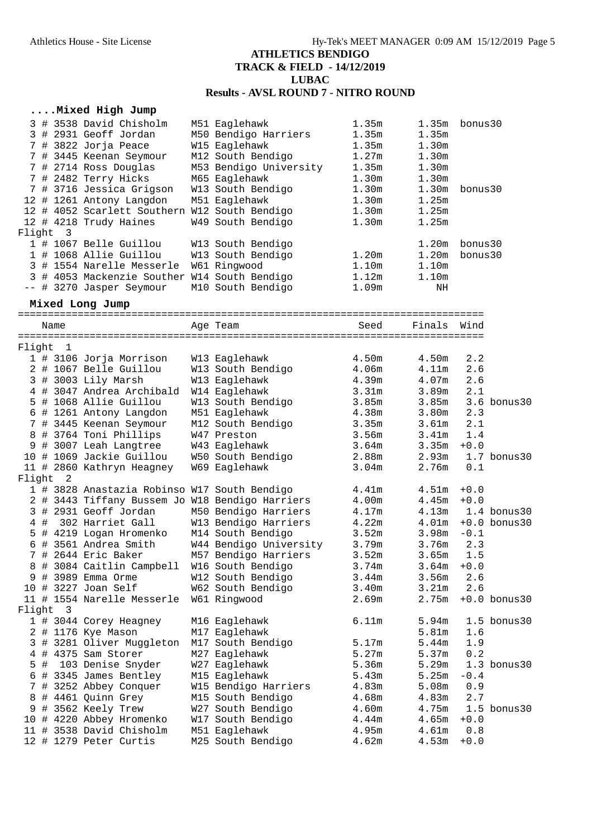#### **....Mixed High Jump**

|          |  | 3 # 3538 David Chisholm                       | M51 Eaglehawk          | 1.35m             |                   | $1.35m$ bonus $30$ |
|----------|--|-----------------------------------------------|------------------------|-------------------|-------------------|--------------------|
|          |  | 3 # 2931 Geoff Jordan                         | M50 Bendigo Harriers   | 1.35m             | 1.35m             |                    |
|          |  | 7 # 3822 Jorja Peace                          | W15 Eaglehawk          | 1.35m             | 1.30 <sub>m</sub> |                    |
|          |  | 7 # 3445 Keenan Seymour                       | M12 South Bendigo      | 1.27m             | 1.30 <sub>m</sub> |                    |
|          |  | 7 # 2714 Ross Douglas                         | M53 Bendigo University | 1.35m             | 1.30m             |                    |
|          |  | 7 # 2482 Terry Hicks                          | M65 Eaglehawk          | 1.30 <sub>m</sub> | 1.30 <sub>m</sub> |                    |
|          |  | 7 # 3716 Jessica Grigson                      | W13 South Bendigo      | 1.30 <sub>m</sub> | 1.30 <sub>m</sub> | bonus30            |
|          |  | 12 # 1261 Antony Langdon                      | M51 Eaglehawk          | 1.30 <sub>m</sub> | 1.25m             |                    |
|          |  | 12 # 4052 Scarlett Southern W12 South Bendigo |                        | 1.30 <sub>m</sub> | 1.25m             |                    |
|          |  | 12 # 4218 Trudy Haines                        | W49 South Bendigo      | 1.30 <sub>m</sub> | 1.25m             |                    |
| Flight 3 |  |                                               |                        |                   |                   |                    |
|          |  | 1 # 1067 Belle Guillou                        | W13 South Bendigo      |                   | 1.20m             | bonus30            |
|          |  | 1 # 1068 Allie Guillou                        | W13 South Bendigo      | 1.20m             | 1.20 <sub>m</sub> | bonus30            |
|          |  | 3 # 1554 Narelle Messerle                     | W61 Ringwood           | 1.10 <sub>m</sub> | 1.10m             |                    |
|          |  | 3 # 4053 Mackenzie Souther W14 South Bendigo  |                        | 1.12m             | 1.10m             |                    |
|          |  | -- # 3270 Jasper Seymour                      | M10 South Bendigo      | 1.09m             | ΝH                |                    |
|          |  |                                               |                        |                   |                   |                    |

#### **Mixed Long Jump**

============================================================================== Name **Age Team** Age Team Seed Finals Wind ==============================================================================  $F14\alpha h+1$ 

| L T T AIIL |     | - 1                     |                                                 |                        |                   |                   |         |                  |
|------------|-----|-------------------------|-------------------------------------------------|------------------------|-------------------|-------------------|---------|------------------|
|            |     |                         | 1 # 3106 Jorja Morrison                         | W13 Eaglehawk          | 4.50m             | 4.50m             | 2.2     |                  |
|            |     |                         | 2 # 1067 Belle Guillou                          | W13 South Bendigo      | 4.06m             | 4.11m             | 2.6     |                  |
|            |     |                         | 3 # 3003 Lily Marsh                             | W13 Eaglehawk          | 4.39m             | 4.07m             | 2.6     |                  |
|            |     |                         | 4 # 3047 Andrea Archibald                       | W14 Eaglehawk          | 3.31m             | 3.89 <sub>m</sub> | 2.1     |                  |
|            |     |                         | 5 # 1068 Allie Guillou                          | W13 South Bendigo      | 3.85m             | 3.85m             |         | 3.6 bonus30      |
|            |     |                         | 6 # 1261 Antony Langdon                         | M51 Eaglehawk          | 4.38m             | 3.80m             | 2.3     |                  |
|            |     |                         | 7 # 3445 Keenan Seymour                         | M12 South Bendigo      | 3.35m             | 3.61m             | 2.1     |                  |
|            |     |                         | 8 # 3764 Toni Phillips                          | W47 Preston            | 3.56m             | 3.41m             | 1.4     |                  |
| 9          |     |                         | # 3007 Leah Langtree                            | W43 Eaglehawk          | 3.64m             | 3.35m             | $+0.0$  |                  |
|            |     |                         | 10 # 1069 Jackie Guillou                        | W50 South Bendigo      | 2.88m             | 2.93m             |         | $1.7$ bonus $30$ |
|            |     |                         | 11 # 2860 Kathryn Heagney                       | W69 Eaglehawk          | 3.04m             | 2.76m             | $0.1\,$ |                  |
| Flight     |     | 2                       |                                                 |                        |                   |                   |         |                  |
|            |     |                         | 1 # 3828 Anastazia Robinso W17 South Bendigo    |                        | 4.41m             | 4.51m             | $+0.0$  |                  |
|            |     |                         | 2 # 3443 Tiffany Bussem Jo W18 Bendigo Harriers |                        | 4.00m             | 4.45m             | $+0.0$  |                  |
|            |     |                         | 3 # 2931 Geoff Jordan                           | M50 Bendigo Harriers   | 4.17m             | 4.13m             |         | $1.4$ bonus $30$ |
| 4          | #   |                         | 302 Harriet Gall                                | W13 Bendigo Harriers   | 4.22m             | 4.01m             |         | $+0.0$ bonus 30  |
| 5          |     |                         | # 4219 Logan Hromenko                           | M14 South Bendigo      | 3.52m             | 3.98 <sub>m</sub> | $-0.1$  |                  |
|            |     |                         | 6 # 3561 Andrea Smith                           | W44 Bendigo University | 3.79m             | 3.76m             | 2.3     |                  |
|            |     |                         | 7 # 2644 Eric Baker                             | M57 Bendigo Harriers   | 3.52m             | 3.65m             | 1.5     |                  |
| 8          |     |                         | # 3084 Caitlin Campbell                         | W16 South Bendigo      | 3.74m             | 3.64m             | $+0.0$  |                  |
| 9          |     |                         | # 3989 Emma Orme                                | W12 South Bendigo      | 3.44m             | 3.56m             | 2.6     |                  |
| 10         |     |                         | # 3227 Joan Self                                | W62 South Bendigo      | 3.40 <sub>m</sub> | 3.21m             | 2.6     |                  |
|            |     |                         | 11 # 1554 Narelle Messerle                      | W61 Ringwood           | 2.69m             | 2.75m             |         | $+0.0$ bonus 30  |
| Flight     |     | $\overline{\mathbf{3}}$ |                                                 |                        |                   |                   |         |                  |
|            |     |                         | 1 # 3044 Corey Heagney                          | M16 Eaglehawk          | 6.11m             | 5.94m             |         | $1.5$ bonus $30$ |
|            |     |                         | 2 # 1176 Kye Mason                              | M17 Eaglehawk          |                   | 5.81m             | 1.6     |                  |
|            |     |                         | 3 # 3281 Oliver Muggleton                       | M17 South Bendigo      | 5.17m             | 5.44 <sub>m</sub> | 1.9     |                  |
|            |     |                         | 4 # 4375 Sam Storer                             | M27 Eaglehawk          | 5.27m             | 5.37m             | 0.2     |                  |
|            | 5 # |                         | 103 Denise Snyder                               | W27 Eaglehawk          | 5.36m             | 5.29m             |         | $1.3$ bonus $30$ |
|            |     |                         | 6 # 3345 James Bentley                          | M15 Eaglehawk          | 5.43m             | 5.25 <sub>m</sub> | $-0.4$  |                  |
|            |     |                         | 7 # 3252 Abbey Conquer                          | W15 Bendigo Harriers   | 4.83m             | 5.08m             | 0.9     |                  |
|            |     |                         | 8 # 4461 Quinn Grey                             | M15 South Bendigo      | 4.68m             | 4.83m             | 2.7     |                  |
|            |     |                         | 9 # 3562 Keely Trew                             | W27 South Bendigo      | 4.60m             | 4.75m             |         | $1.5$ bonus $30$ |
|            |     |                         | 10 # 4220 Abbey Hromenko                        | W17 South Bendigo      | 4.44m             | 4.65m             | $+0.0$  |                  |
|            |     |                         | 11 # 3538 David Chisholm                        | M51 Eaglehawk          | 4.95m             | 4.61 <sub>m</sub> | 0.8     |                  |
|            |     |                         | 12 # 1279 Peter Curtis                          | M25 South Bendigo      | 4.62m             | 4.53m             | $+0.0$  |                  |
|            |     |                         |                                                 |                        |                   |                   |         |                  |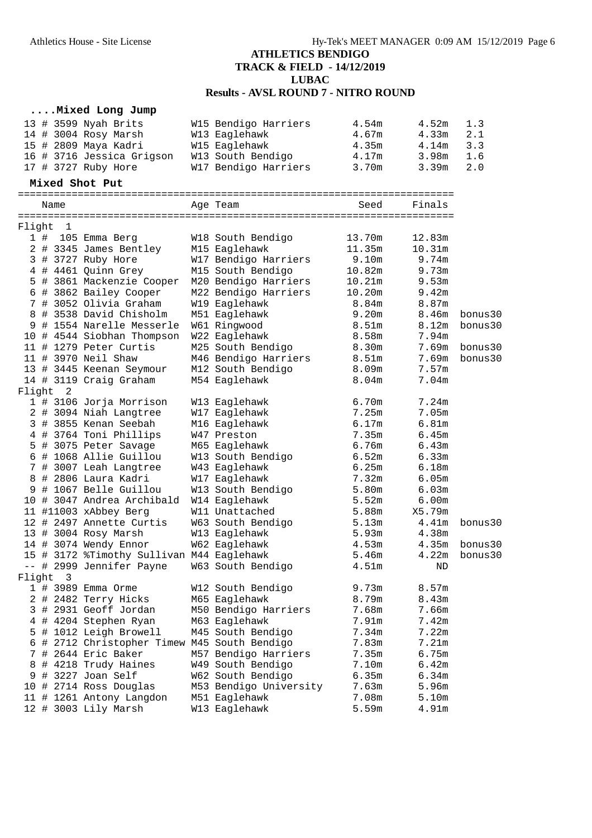#### **....Mixed Long Jump**

| 13 # 3599 Nyah Brits      | W15 Bendigo Harriers | 4.54m | 4.52m | 1.3 |
|---------------------------|----------------------|-------|-------|-----|
| 14 # 3004 Rosy Marsh      | W13 Eaglehawk        | 4.67m | 4.33m | 2.1 |
| 15 # 2809 Maya Kadri      | W15 Eaglehawk        | 4.35m | 4.14m | 3.3 |
| 16 # 3716 Jessica Grigson | W13 South Bendigo    | 4.17m | 3.98m | 1.6 |
| 17 # 3727 Ruby Hore       | W17 Bendigo Harriers | 3.70m | 3.39m | 2.0 |

#### **Mixed Shot Put**

========================================================================= Name **Age Team** Age Team Seed Finals

=========================================================================

| Flight |     | 1              |                                              |                        |                   |        |          |
|--------|-----|----------------|----------------------------------------------|------------------------|-------------------|--------|----------|
|        | 1 # |                | 105 Emma Berg                                | W18 South Bendigo      | 13.70m            | 12.83m |          |
|        |     |                | 2 # 3345 James Bentley                       | M15 Eaglehawk          | 11.35m            | 10.31m |          |
|        |     |                | 3 # 3727 Ruby Hore                           | W17 Bendigo Harriers   | 9.10m             | 9.74m  |          |
|        |     |                | 4 # 4461 Quinn Grey                          | M15 South Bendigo      | 10.82m            | 9.73m  |          |
|        |     |                | 5 # 3861 Mackenzie Cooper                    | M20 Bendigo Harriers   | 10.21m            | 9.53m  |          |
|        |     |                | 6 # 3862 Bailey Cooper                       | M22 Bendigo Harriers   | 10.20m            | 9.42m  |          |
|        |     |                | 7 # 3052 Olivia Graham                       | W19 Eaglehawk          | 8.84m             | 8.87m  |          |
|        |     |                | 8 # 3538 David Chisholm                      | M51 Eaglehawk          | 9.20m             | 8.46m  | bonus30  |
|        |     |                | 9 # 1554 Narelle Messerle                    | W61 Ringwood           | 8.51 <sub>m</sub> | 8.12m  | bonus30  |
|        |     |                | 10 # 4544 Siobhan Thompson                   | W22 Eaglehawk          | 8.58m             | 7.94m  |          |
|        |     |                | 11 # 1279 Peter Curtis                       | M25 South Bendigo      | 8.30m             | 7.69m  | bonus30  |
|        |     |                | 11 # 3970 Neil Shaw                          | M46 Bendigo Harriers   | $8.51m$           | 7.69m  | bonus30  |
|        |     |                | 13 # 3445 Keenan Seymour                     | M12 South Bendigo      | 8.09m             | 7.57m  |          |
|        |     |                | 14 # 3119 Craig Graham                       | M54 Eaglehawk          | 8.04 <sub>m</sub> | 7.04m  |          |
|        |     | Flight 2       |                                              |                        |                   |        |          |
|        |     |                | 1 # 3106 Jorja Morrison                      | W13 Eaglehawk          | 6.70m             | 7.24m  |          |
|        |     |                | 2 # 3094 Niah Langtree                       | W17 Eaglehawk          | 7.25m             | 7.05m  |          |
|        |     |                | 3 # 3855 Kenan Seebah                        | M16 Eaglehawk          | 6.17m             | 6.81m  |          |
|        |     |                | 4 # 3764 Toni Phillips                       | W47 Preston            | 7.35m             | 6.45m  |          |
|        |     |                | 5 # 3075 Peter Savage                        | M65 Eaglehawk          | 6.76m             | 6.43m  |          |
|        |     |                | 6 # 1068 Allie Guillou                       | W13 South Bendigo      | 6.52m             | 6.33m  |          |
|        |     |                | 7 # 3007 Leah Langtree                       | W43 Eaglehawk          | 6.25m             | 6.18m  |          |
|        |     |                | 8 # 2806 Laura Kadri                         | W17 Eaglehawk          | 7.32m             | 6.05m  |          |
|        |     |                | 9 # 1067 Belle Guillou                       | W13 South Bendigo      | 5.80m             | 6.03m  |          |
|        |     |                | 10 # 3047 Andrea Archibald                   | W14 Eaglehawk          | 5.52m             | 6.00m  |          |
|        |     |                | 11 #11003 xAbbey Berg                        | W11 Unattached         | 5.88m             | X5.79m |          |
|        |     |                | 12 # 2497 Annette Curtis                     | W63 South Bendigo      | 5.13m             | 4.41m  | bonus30  |
|        |     |                | 13 # 3004 Rosy Marsh                         | W13 Eaglehawk          | 5.93m             | 4.38m  |          |
|        |     |                | 14 # 3074 Wendy Ennor                        | W62 Eaglehawk          | 4.53m             | 4.35m  | bonus 30 |
|        |     |                | 15 # 3172 %Timothy Sullivan M44 Eaglehawk    |                        | 5.46m             | 4.22m  | bonus30  |
|        |     |                | -- # 2999 Jennifer Payne                     | W63 South Bendigo      | 4.51 <sub>m</sub> | ND     |          |
| Flight |     | $\overline{3}$ |                                              |                        |                   |        |          |
|        |     |                | 1 # 3989 Emma Orme                           | W12 South Bendigo      | 9.73m             | 8.57m  |          |
|        |     |                | 2 # 2482 Terry Hicks                         | M65 Eaglehawk          | 8.79m             | 8.43m  |          |
|        |     |                | 3 # 2931 Geoff Jordan                        | M50 Bendigo Harriers   | 7.68m             | 7.66m  |          |
|        |     |                | 4 # 4204 Stephen Ryan                        | M63 Eaglehawk          | 7.91m             | 7.42m  |          |
|        |     |                | 5 # 1012 Leigh Browell                       | M45 South Bendigo      | 7.34m             | 7.22m  |          |
|        |     |                | 6 # 2712 Christopher Timew M45 South Bendigo |                        | 7.83m             | 7.21m  |          |
|        |     |                | 7 # 2644 Eric Baker                          | M57 Bendigo Harriers   | 7.35m             | 6.75m  |          |
| 8      |     |                | # 4218 Trudy Haines                          | W49 South Bendigo      | 7.10m             | 6.42m  |          |
|        |     |                | 9 # 3227 Joan Self                           | W62 South Bendigo      | 6.35m             | 6.34m  |          |
|        |     |                | 10 # 2714 Ross Douglas                       | M53 Bendigo University | 7.63m             | 5.96m  |          |
|        |     |                | 11 # 1261 Antony Langdon                     | M51 Eaglehawk          | 7.08m             | 5.10m  |          |
|        |     |                | 12 # 3003 Lily Marsh                         | W13 Eaglehawk          | 5.59m             | 4.91m  |          |